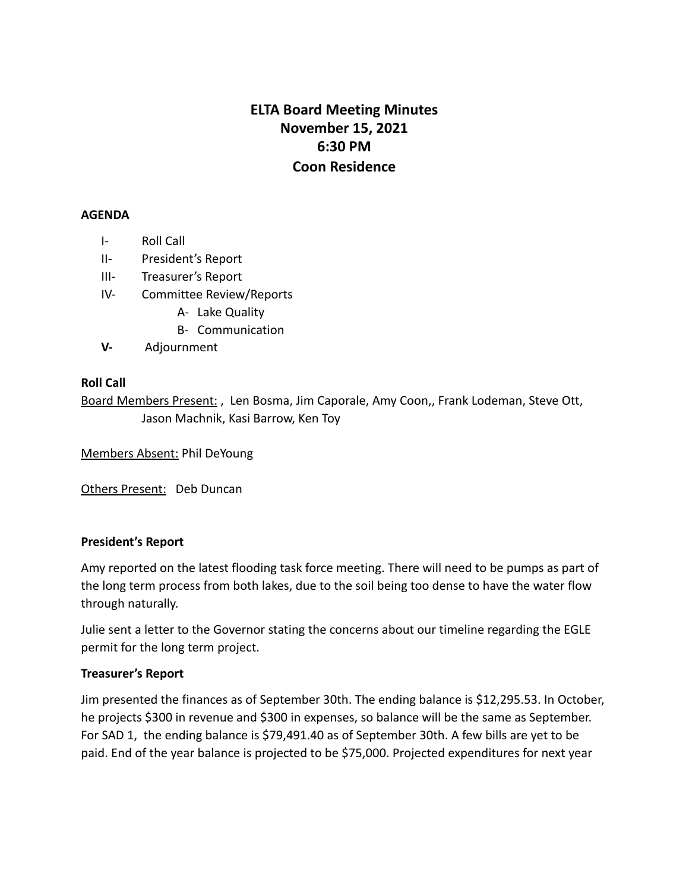# **ELTA Board Meeting Minutes November 15, 2021 6:30 PM Coon Residence**

#### **AGENDA**

- I- Roll Call
- II- President's Report
- III- Treasurer's Report
- IV- Committee Review/Reports
	- A- Lake Quality
	- B- Communication
- **V-** Adjournment

### **Roll Call**

Board Members Present: , Len Bosma, Jim Caporale, Amy Coon,, Frank Lodeman, Steve Ott, Jason Machnik, Kasi Barrow, Ken Toy

Members Absent: Phil DeYoung

Others Present: Deb Duncan

### **President's Report**

Amy reported on the latest flooding task force meeting. There will need to be pumps as part of the long term process from both lakes, due to the soil being too dense to have the water flow through naturally.

Julie sent a letter to the Governor stating the concerns about our timeline regarding the EGLE permit for the long term project.

### **Treasurer's Report**

Jim presented the finances as of September 30th. The ending balance is \$12,295.53. In October, he projects \$300 in revenue and \$300 in expenses, so balance will be the same as September. For SAD 1, the ending balance is \$79,491.40 as of September 30th. A few bills are yet to be paid. End of the year balance is projected to be \$75,000. Projected expenditures for next year